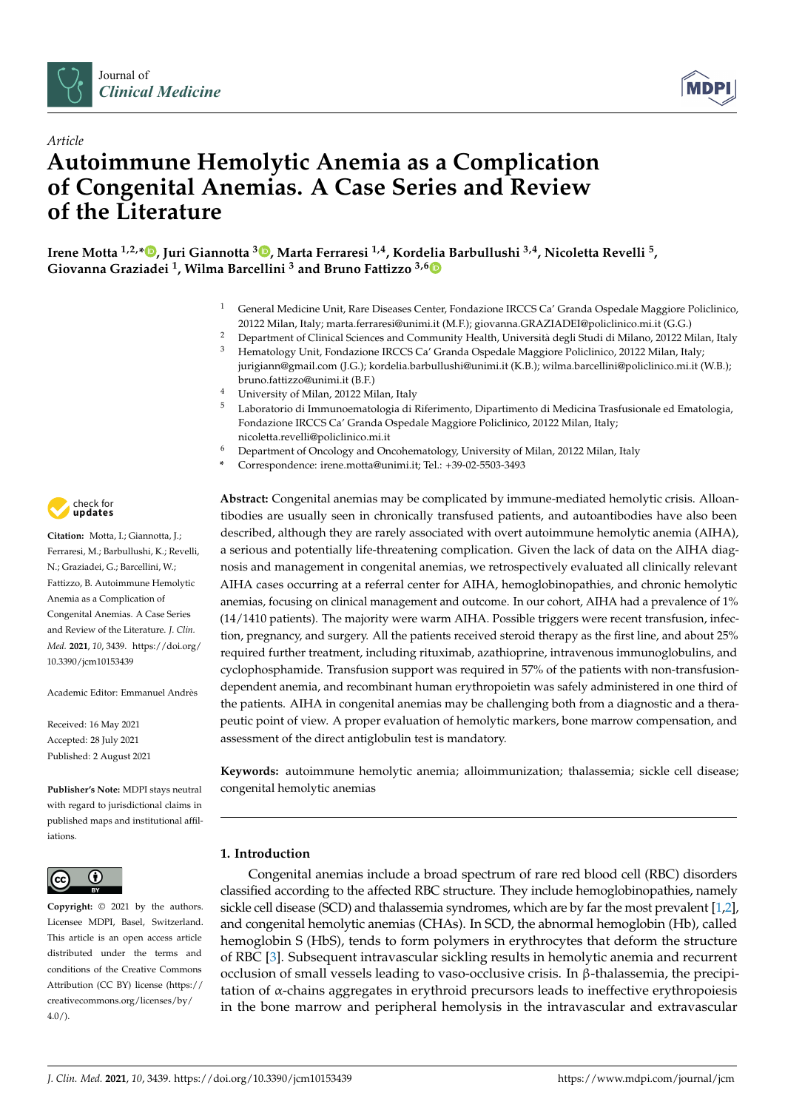



# *Article* **Autoimmune Hemolytic Anemia as a Complication of Congenital Anemias. A Case Series and Review of the Literature**

**Irene Motta 1,2,\* [,](https://orcid.org/0000-0001-5701-599X) Juri Giannotta <sup>3</sup> [,](https://orcid.org/0000-0001-9349-1627) Marta Ferraresi 1,4, Kordelia Barbullushi 3,4, Nicoletta Revelli <sup>5</sup> , Giovanna Graziadei <sup>1</sup> , Wilma Barcellini <sup>3</sup> and Bruno Fattizzo 3,[6](https://orcid.org/0000-0003-0857-8379)**

- <sup>1</sup> General Medicine Unit, Rare Diseases Center, Fondazione IRCCS Ca' Granda Ospedale Maggiore Policlinico, 20122 Milan, Italy; marta.ferraresi@unimi.it (M.F.); giovanna.GRAZIADEI@policlinico.mi.it (G.G.)
- <sup>2</sup> Department of Clinical Sciences and Community Health, Università degli Studi di Milano, 20122 Milan, Italy <sup>3</sup> Hematology Unit, Fondazione IRCCS Ca' Granda Ospedale Maggiore Policlinico, 20122 Milan, Italy;
- jurigiann@gmail.com (J.G.); kordelia.barbullushi@unimi.it (K.B.); wilma.barcellini@policlinico.mi.it (W.B.); bruno.fattizzo@unimi.it (B.F.)
	- <sup>4</sup> University of Milan, 20122 Milan, Italy
- <sup>5</sup> Laboratorio di Immunoematologia di Riferimento, Dipartimento di Medicina Trasfusionale ed Ematologia, Fondazione IRCCS Ca' Granda Ospedale Maggiore Policlinico, 20122 Milan, Italy; nicoletta.revelli@policlinico.mi.it
- <sup>6</sup> Department of Oncology and Oncohematology, University of Milan, 20122 Milan, Italy
- **\*** Correspondence: irene.motta@unimi.it; Tel.: +39-02-5503-3493

**Abstract:** Congenital anemias may be complicated by immune-mediated hemolytic crisis. Alloantibodies are usually seen in chronically transfused patients, and autoantibodies have also been described, although they are rarely associated with overt autoimmune hemolytic anemia (AIHA), a serious and potentially life-threatening complication. Given the lack of data on the AIHA diagnosis and management in congenital anemias, we retrospectively evaluated all clinically relevant AIHA cases occurring at a referral center for AIHA, hemoglobinopathies, and chronic hemolytic anemias, focusing on clinical management and outcome. In our cohort, AIHA had a prevalence of 1% (14/1410 patients). The majority were warm AIHA. Possible triggers were recent transfusion, infection, pregnancy, and surgery. All the patients received steroid therapy as the first line, and about 25% required further treatment, including rituximab, azathioprine, intravenous immunoglobulins, and cyclophosphamide. Transfusion support was required in 57% of the patients with non-transfusiondependent anemia, and recombinant human erythropoietin was safely administered in one third of the patients. AIHA in congenital anemias may be challenging both from a diagnostic and a therapeutic point of view. A proper evaluation of hemolytic markers, bone marrow compensation, and assessment of the direct antiglobulin test is mandatory.

**Keywords:** autoimmune hemolytic anemia; alloimmunization; thalassemia; sickle cell disease; congenital hemolytic anemias

## **1. Introduction**

Congenital anemias include a broad spectrum of rare red blood cell (RBC) disorders classified according to the affected RBC structure. They include hemoglobinopathies, namely sickle cell disease (SCD) and thalassemia syndromes, which are by far the most prevalent [\[1,](#page-9-0)[2\]](#page-9-1), and congenital hemolytic anemias (CHAs). In SCD, the abnormal hemoglobin (Hb), called hemoglobin S (HbS), tends to form polymers in erythrocytes that deform the structure of RBC [\[3\]](#page-9-2). Subsequent intravascular sickling results in hemolytic anemia and recurrent occlusion of small vessels leading to vaso-occlusive crisis. In β-thalassemia, the precipitation of  $\alpha$ -chains aggregates in erythroid precursors leads to ineffective erythropoiesis in the bone marrow and peripheral hemolysis in the intravascular and extravascular



**Citation:** Motta, I.; Giannotta, J.; Ferraresi, M.; Barbullushi, K.; Revelli, N.; Graziadei, G.; Barcellini, W.; Fattizzo, B. Autoimmune Hemolytic Anemia as a Complication of Congenital Anemias. A Case Series and Review of the Literature. *J. Clin. Med.* **2021**, *10*, 3439. [https://doi.org/](https://doi.org/10.3390/jcm10153439) [10.3390/jcm10153439](https://doi.org/10.3390/jcm10153439)

Academic Editor: Emmanuel Andrès

Received: 16 May 2021 Accepted: 28 July 2021 Published: 2 August 2021

**Publisher's Note:** MDPI stays neutral with regard to jurisdictional claims in published maps and institutional affiliations.



**Copyright:** © 2021 by the authors. Licensee MDPI, Basel, Switzerland. This article is an open access article distributed under the terms and conditions of the Creative Commons Attribution (CC BY) license (https:/[/](https://creativecommons.org/licenses/by/4.0/) [creativecommons.org/licenses/by/](https://creativecommons.org/licenses/by/4.0/)  $4.0/$ ).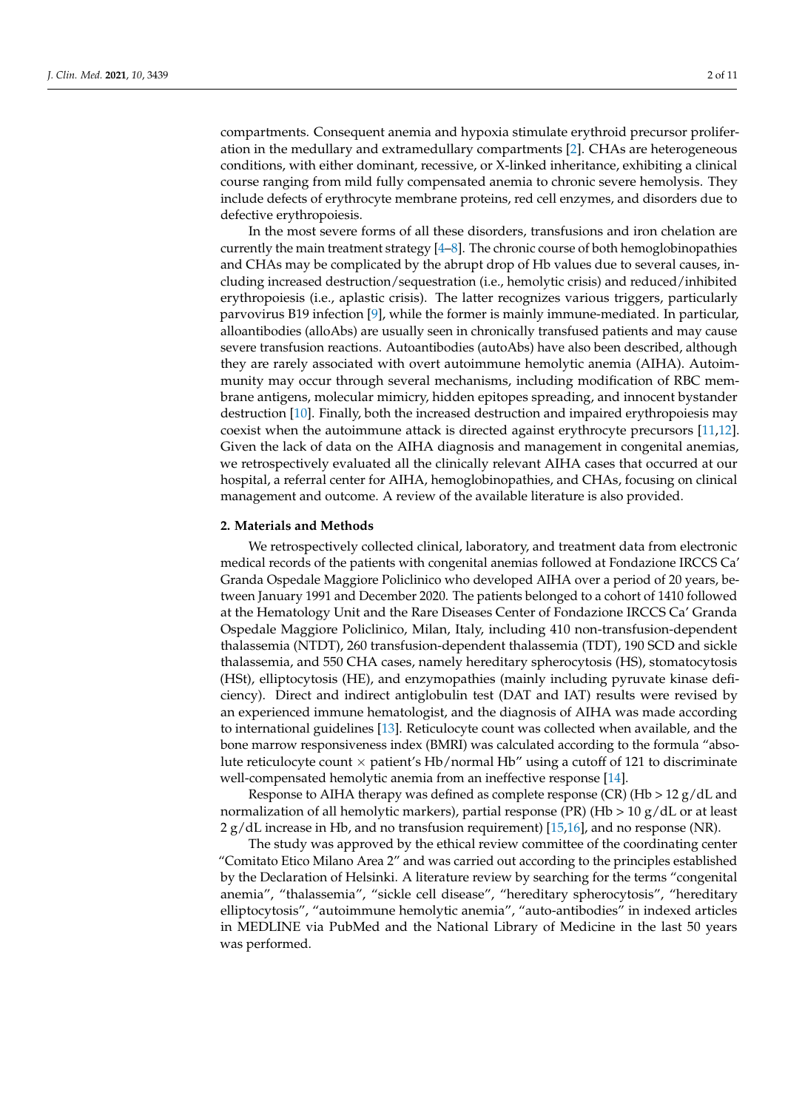compartments. Consequent anemia and hypoxia stimulate erythroid precursor proliferation in the medullary and extramedullary compartments [\[2\]](#page-9-1). CHAs are heterogeneous conditions, with either dominant, recessive, or X-linked inheritance, exhibiting a clinical course ranging from mild fully compensated anemia to chronic severe hemolysis. They include defects of erythrocyte membrane proteins, red cell enzymes, and disorders due to defective erythropoiesis.

In the most severe forms of all these disorders, transfusions and iron chelation are currently the main treatment strategy  $[4-8]$  $[4-8]$ . The chronic course of both hemoglobinopathies and CHAs may be complicated by the abrupt drop of Hb values due to several causes, including increased destruction/sequestration (i.e., hemolytic crisis) and reduced/inhibited erythropoiesis (i.e., aplastic crisis). The latter recognizes various triggers, particularly parvovirus B19 infection [\[9\]](#page-9-5), while the former is mainly immune-mediated. In particular, alloantibodies (alloAbs) are usually seen in chronically transfused patients and may cause severe transfusion reactions. Autoantibodies (autoAbs) have also been described, although they are rarely associated with overt autoimmune hemolytic anemia (AIHA). Autoimmunity may occur through several mechanisms, including modification of RBC membrane antigens, molecular mimicry, hidden epitopes spreading, and innocent bystander destruction [\[10\]](#page-9-6). Finally, both the increased destruction and impaired erythropoiesis may coexist when the autoimmune attack is directed against erythrocyte precursors [\[11,](#page-9-7)[12\]](#page-9-8). Given the lack of data on the AIHA diagnosis and management in congenital anemias, we retrospectively evaluated all the clinically relevant AIHA cases that occurred at our hospital, a referral center for AIHA, hemoglobinopathies, and CHAs, focusing on clinical management and outcome. A review of the available literature is also provided.

#### **2. Materials and Methods**

We retrospectively collected clinical, laboratory, and treatment data from electronic medical records of the patients with congenital anemias followed at Fondazione IRCCS Ca' Granda Ospedale Maggiore Policlinico who developed AIHA over a period of 20 years, between January 1991 and December 2020. The patients belonged to a cohort of 1410 followed at the Hematology Unit and the Rare Diseases Center of Fondazione IRCCS Ca' Granda Ospedale Maggiore Policlinico, Milan, Italy, including 410 non-transfusion-dependent thalassemia (NTDT), 260 transfusion-dependent thalassemia (TDT), 190 SCD and sickle thalassemia, and 550 CHA cases, namely hereditary spherocytosis (HS), stomatocytosis (HSt), elliptocytosis (HE), and enzymopathies (mainly including pyruvate kinase deficiency). Direct and indirect antiglobulin test (DAT and IAT) results were revised by an experienced immune hematologist, and the diagnosis of AIHA was made according to international guidelines [\[13\]](#page-9-9). Reticulocyte count was collected when available, and the bone marrow responsiveness index (BMRI) was calculated according to the formula "absolute reticulocyte count  $\times$  patient's Hb/normal Hb" using a cutoff of 121 to discriminate well-compensated hemolytic anemia from an ineffective response [\[14\]](#page-9-10).

Response to AIHA therapy was defined as complete response (CR) (Hb  $> 12 \text{ g}/dL$  and normalization of all hemolytic markers), partial response (PR) (Hb  $> 10 \text{ g}/dL$  or at least  $2 g/dL$  increase in Hb, and no transfusion requirement) [\[15](#page-9-11)[,16\]](#page-9-12), and no response (NR).

The study was approved by the ethical review committee of the coordinating center "Comitato Etico Milano Area 2" and was carried out according to the principles established by the Declaration of Helsinki. A literature review by searching for the terms "congenital anemia", "thalassemia", "sickle cell disease", "hereditary spherocytosis", "hereditary elliptocytosis", "autoimmune hemolytic anemia", "auto-antibodies" in indexed articles in MEDLINE via PubMed and the National Library of Medicine in the last 50 years was performed.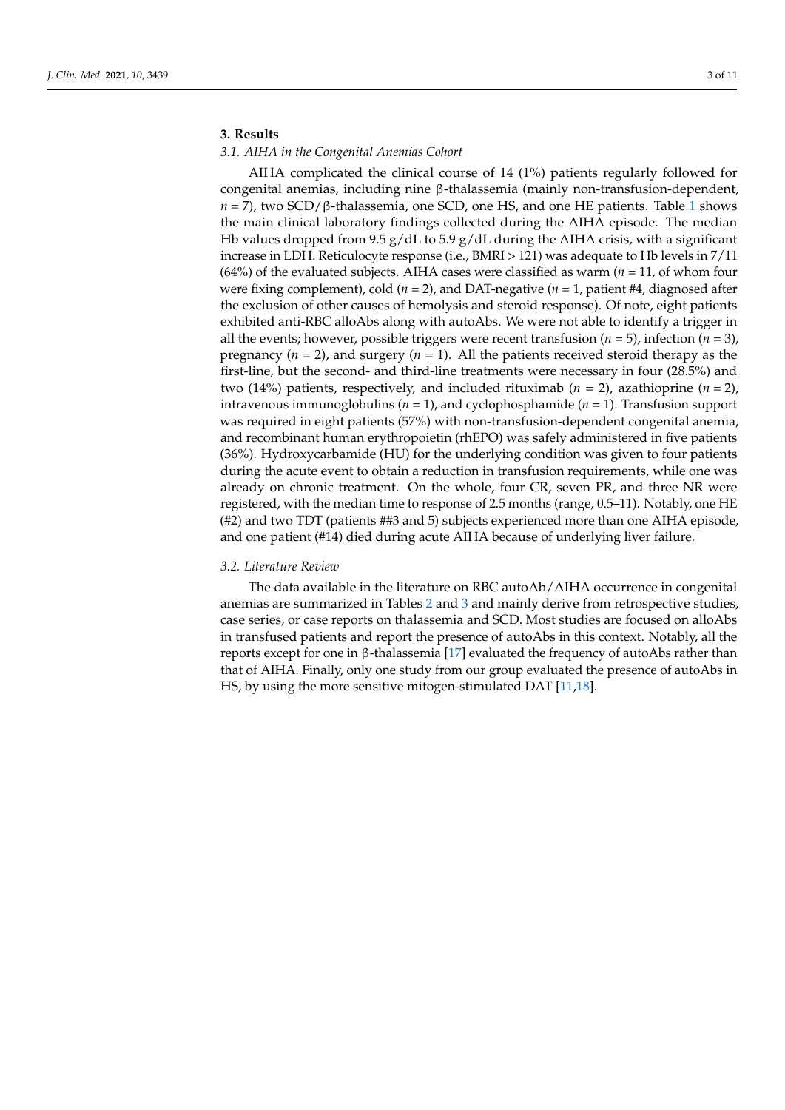### **3. Results**

#### *3.1. AIHA in the Congenital Anemias Cohort*

AIHA complicated the clinical course of 14 (1%) patients regularly followed for congenital anemias, including nine β-thalassemia (mainly non-transfusion-dependent, *n* = 7), two SCD/β-thalassemia, one SCD, one HS, and one HE patients. Table [1](#page-3-0) shows the main clinical laboratory findings collected during the AIHA episode. The median Hb values dropped from 9.5  $g/dL$  to 5.9  $g/dL$  during the AIHA crisis, with a significant increase in LDH. Reticulocyte response (i.e., BMRI > 121) was adequate to Hb levels in 7/11  $(64%)$  of the evaluated subjects. AIHA cases were classified as warm ( $n = 11$ , of whom four were fixing complement), cold (*n* = 2), and DAT-negative (*n* = 1, patient #4, diagnosed after the exclusion of other causes of hemolysis and steroid response). Of note, eight patients exhibited anti-RBC alloAbs along with autoAbs. We were not able to identify a trigger in all the events; however, possible triggers were recent transfusion (*n* = 5), infection (*n* = 3), pregnancy (*n* = 2), and surgery (*n* = 1). All the patients received steroid therapy as the first-line, but the second- and third-line treatments were necessary in four (28.5%) and two (14%) patients, respectively, and included rituximab (*n* = 2), azathioprine (*n* = 2), intravenous immunoglobulins (*n* = 1), and cyclophosphamide (*n* = 1). Transfusion support was required in eight patients (57%) with non-transfusion-dependent congenital anemia, and recombinant human erythropoietin (rhEPO) was safely administered in five patients (36%). Hydroxycarbamide (HU) for the underlying condition was given to four patients during the acute event to obtain a reduction in transfusion requirements, while one was already on chronic treatment. On the whole, four CR, seven PR, and three NR were registered, with the median time to response of 2.5 months (range, 0.5–11). Notably, one HE (#2) and two TDT (patients ##3 and 5) subjects experienced more than one AIHA episode, and one patient (#14) died during acute AIHA because of underlying liver failure.

#### *3.2. Literature Review*

The data available in the literature on RBC autoAb/AIHA occurrence in congenital anemias are summarized in Tables [2](#page-6-0) and [3](#page-7-0) and mainly derive from retrospective studies, case series, or case reports on thalassemia and SCD. Most studies are focused on alloAbs in transfused patients and report the presence of autoAbs in this context. Notably, all the reports except for one in β-thalassemia [\[17\]](#page-10-0) evaluated the frequency of autoAbs rather than that of AIHA. Finally, only one study from our group evaluated the presence of autoAbs in HS, by using the more sensitive mitogen-stimulated DAT [\[11](#page-9-7)[,18\]](#page-10-1).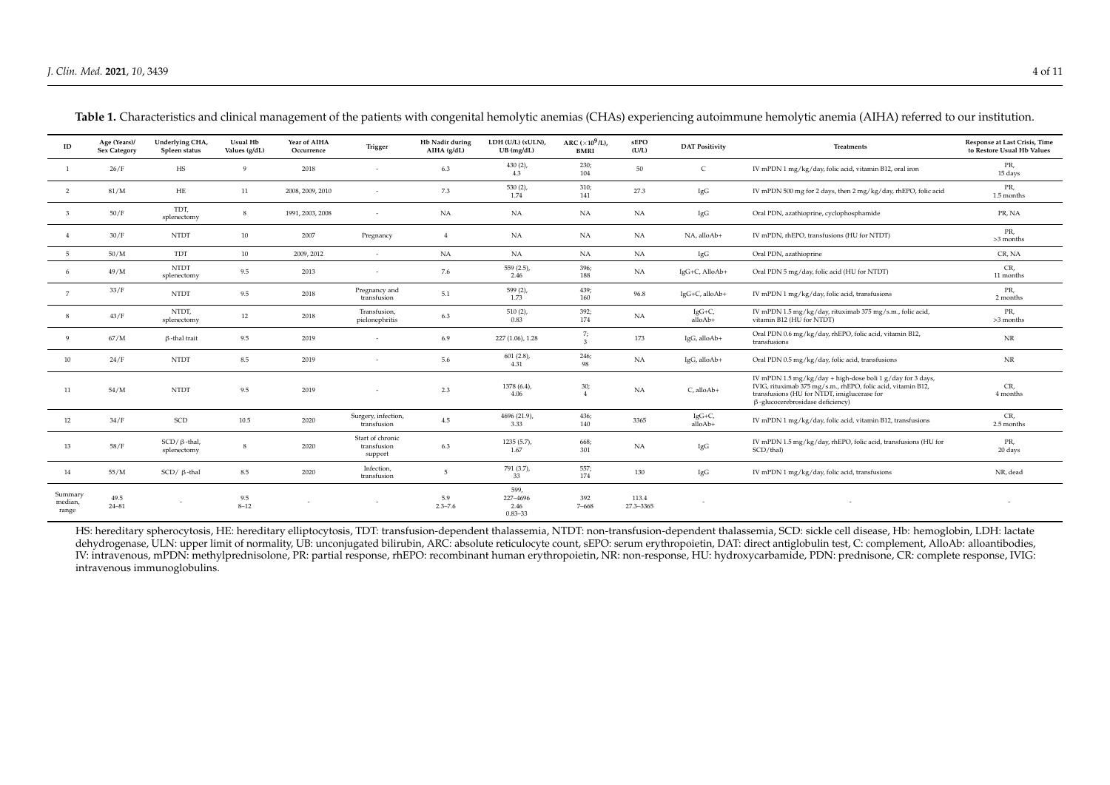| ID                          | Age (Years)/<br><b>Sex Category</b> | Underlying CHA,<br>Spleen status    | Usual Hb<br>Values (g/dL) | Year of AIHA<br>Occurrence | Trigger                                    | Hb Nadir during<br>AIHA (g/dL) | LDH (U/L) (xULN),<br>$UB$ (mg/dL)       | ARC $(\times 10^9$ /L),<br><b>BMRI</b> | sEPO<br>(U/L)      | <b>DAT Positivity</b>    | <b>Treatments</b>                                                                                                                                                                                                    | Response at Last Crisis, Time<br>to Restore Usual Hb Values |
|-----------------------------|-------------------------------------|-------------------------------------|---------------------------|----------------------------|--------------------------------------------|--------------------------------|-----------------------------------------|----------------------------------------|--------------------|--------------------------|----------------------------------------------------------------------------------------------------------------------------------------------------------------------------------------------------------------------|-------------------------------------------------------------|
|                             | 26/F                                | HS                                  | 9                         | 2018                       |                                            | 6.3                            | $430(2)$ ,<br>4.3                       | 230;<br>104                            | 50                 | $\mathsf{C}$             | IV mPDN 1 mg/kg/day, folic acid, vitamin B12, oral iron                                                                                                                                                              | PR,<br>15 days                                              |
| 2                           | 81/M                                | $\rm{HE}$                           | 11                        | 2008, 2009, 2010           |                                            | 7.3                            | $530(2)$ ,<br>1.74                      | 310;<br>141                            | 27.3               | IgG                      | IV mPDN 500 mg for 2 days, then 2 mg/kg/day, rhEPO, folic acid                                                                                                                                                       | PR,<br>1.5 months                                           |
| $\mathcal{Z}$               | 50/F                                | TDT,<br>splenectomy                 | $\,$ 8 $\,$               | 1991, 2003, 2008           | $\sim$                                     | NA                             | NA                                      | NA                                     | NA                 | IgG                      | Oral PDN, azathioprine, cyclophosphamide                                                                                                                                                                             | PR, NA                                                      |
|                             | 30/F                                | <b>NTDT</b>                         | 10                        | 2007                       | Pregnancy                                  | $\overline{4}$                 | NA                                      | <b>NA</b>                              | NA                 | NA, alloAb+              | IV mPDN, rhEPO, transfusions (HU for NTDT)                                                                                                                                                                           | PR,<br>>3 months                                            |
| - 5                         | 50/M                                | <b>TDT</b>                          | 10                        | 2009, 2012                 | $\sim$                                     | NA                             | NA                                      | NA                                     | NA                 | IgG                      | Oral PDN, azathioprine                                                                                                                                                                                               | CR, NA                                                      |
|                             | 49/M                                | <b>NTDT</b><br>splenectomy          | 9.5                       | 2013                       |                                            | 7.6                            | $559(2.5)$ ,<br>2.46                    | 396;<br>188                            | NA                 | IgG+C, AlloAb+           | Oral PDN 5 mg/day, folic acid (HU for NTDT)                                                                                                                                                                          | CR,<br>11 months                                            |
| 7                           | 33/F                                | <b>NTDT</b>                         | 9.5                       | 2018                       | Pregnancy and<br>transfusion               | 5.1                            | $599(2)$ ,<br>1.73                      | 439;<br>160                            | 96.8               | IgG+C, alloAb+           | IV mPDN 1 mg/kg/day, folic acid, transfusions                                                                                                                                                                        | PR,<br>2 months                                             |
| 8                           | 43/F                                | NTDT,<br>splenectomy                | $12\,$                    | 2018                       | Transfusion,<br>pielonephritis             | 6.3                            | $510(2)$ ,<br>0.83                      | 392;<br>174                            | NA                 | IgG+C,<br>alloAb+        | IV mPDN 1.5 mg/kg/day, rituximab 375 mg/s.m., folic acid,<br>vitamin B12 (HU for NTDT)                                                                                                                               | PR,<br>>3 months                                            |
| $\mathbf{Q}$                | 67/M                                | $\beta$ -thal trait                 | 9.5                       | 2019                       |                                            | 6.9                            | 227 (1.06), 1.28                        | 7;<br>$\overline{3}$                   | 173                | IgG, alloAb+             | Oral PDN 0.6 mg/kg/day, rhEPO, folic acid, vitamin B12,<br>transfusions                                                                                                                                              | $\rm{NR}$                                                   |
| 10                          | 24/F                                | <b>NTDT</b>                         | 8.5                       | 2019                       |                                            | 5.6                            | $601(2.8)$ ,<br>4.31                    | 246;<br>98                             | NA                 | IgG, alloAb+             | Oral PDN 0.5 mg/kg/day, folic acid, transfusions                                                                                                                                                                     | $\rm{NR}$                                                   |
| 11                          | 54/M                                | <b>NTDT</b>                         | 9.5                       | 2019                       |                                            | 2.3                            | $1378(6.4)$ ,<br>4.06                   | 30;<br>$\overline{4}$                  | NA                 | C, alloAb+               | IV mPDN 1.5 mg/kg/day + high-dose boli 1 g/day for 3 days,<br>IVIG, rituximab 375 mg/s.m., rhEPO, folic acid, vitamin B12,<br>transfusions (HU for NTDT, imiglucerase for<br>$\beta$ -glucocerebrosidase deficiency) | CR,<br>4 months                                             |
| 12                          | 34/F                                | SCD                                 | 10.5                      | 2020                       | Surgery, infection,<br>transfusion         | 4.5                            | 4696 (21.9),<br>3.33                    | 436;<br>140                            | 3365               | IgG+C,<br>alloAb+        | IV mPDN 1 mg/kg/day, folic acid, vitamin B12, transfusions                                                                                                                                                           | CR,<br>2.5 months                                           |
| 13                          | 58/F                                | $SCD / \beta$ -thal,<br>splenectomy | 8                         | 2020                       | Start of chronic<br>transfusion<br>support | 6.3                            | $1235(5.7)$ ,<br>1.67                   | 668;<br>301                            | NA                 | $\rm{IgG}$               | IV mPDN 1.5 mg/kg/day, rhEPO, folic acid, transfusions (HU for<br>SCD/thal)                                                                                                                                          | PR,<br>20 days                                              |
| 14                          | 55/M                                | $SCD / \beta$ -thal                 | 8.5                       | 2020                       | Infection,<br>transfusion                  | $\overline{5}$                 | 791 (3.7),<br>33                        | 557;<br>174                            | 130                | IgG                      | IV mPDN 1 mg/kg/day, folic acid, transfusions                                                                                                                                                                        | NR, dead                                                    |
| Summary<br>median,<br>range | 49.5<br>24-81                       |                                     | 9.5<br>$8 - 12$           |                            |                                            | 5.9<br>$2.3 - 7.6$             | 599,<br>227-4696<br>2.46<br>$0.83 - 33$ | 392<br>$7 - 668$                       | 113.4<br>27.3-3365 | $\overline{\phantom{a}}$ |                                                                                                                                                                                                                      |                                                             |

Table 1. Characteristics and clinical management of the patients with congenital hemolytic anemias (CHAs) experiencing autoimmune hemolytic anemia (AIHA) referred to our institution.

<span id="page-3-0"></span>HS: hereditary spherocytosis, HE: hereditary elliptocytosis, TDT: transfusion-dependent thalassemia, NTDT: non-transfusion-dependent thalassemia, SCD: sickle cell disease, Hb: hemoglobin, LDH: lactate dehydrogenase, ULN: upper limit of normality, UB: unconjugated bilirubin, ARC: absolute reticulocyte count, sEPO: serum erythropoietin, DAT: direct antiglobulin test, C: complement, AlloAb: alloantibodies, IV: intravenous, mPDN: methylprednisolone, PR: partial response, rhEPO: recombinant human erythropoietin, NR: non-response, HU: hydroxycarbamide, PDN: prednisone, CR: complete response, IVIG: intravenous immunoglobulins.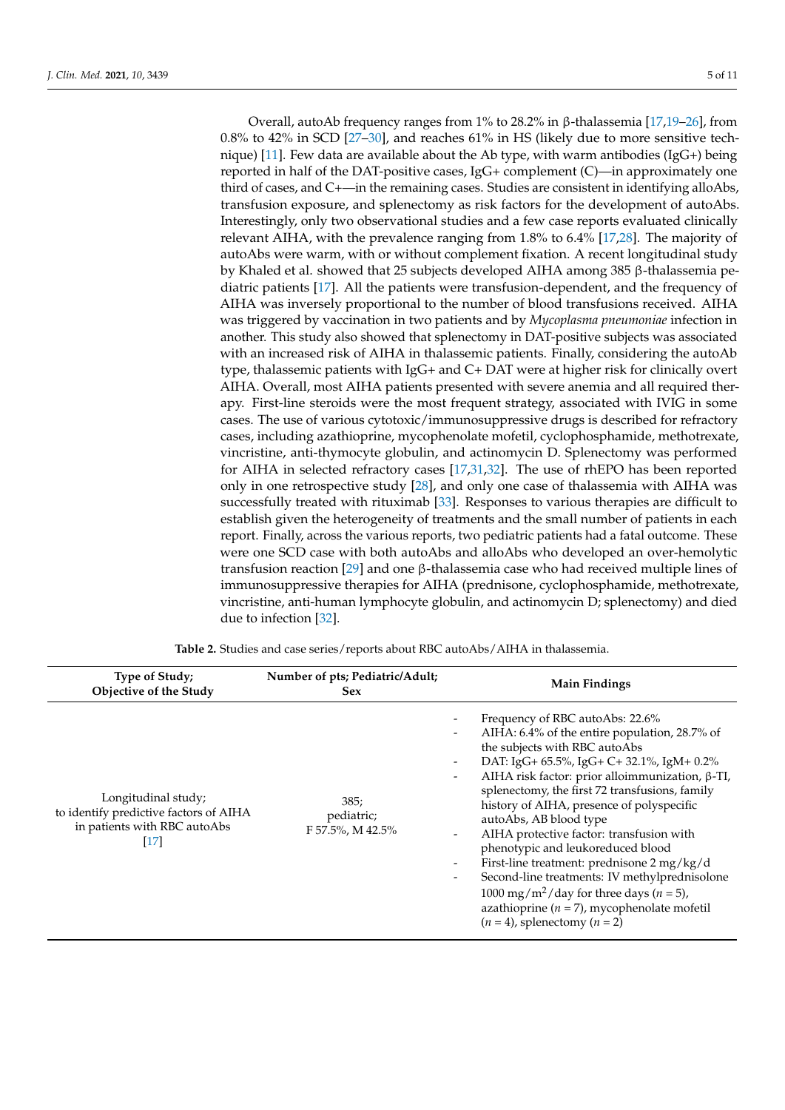Overall, autoAb frequency ranges from 1% to 28.2% in β-thalassemia [\[17](#page-10-0)[,19](#page-10-2)[–26\]](#page-10-3), from 0.8% to 42% in SCD [\[27](#page-10-4)[–30\]](#page-10-5), and reaches 61% in HS (likely due to more sensitive technique)  $[11]$ . Few data are available about the Ab type, with warm antibodies (IgG+) being reported in half of the DAT-positive cases, IgG+ complement (C)—in approximately one third of cases, and C+—in the remaining cases. Studies are consistent in identifying alloAbs, transfusion exposure, and splenectomy as risk factors for the development of autoAbs. Interestingly, only two observational studies and a few case reports evaluated clinically relevant AIHA, with the prevalence ranging from 1.8% to 6.4% [\[17](#page-10-0)[,28\]](#page-10-6). The majority of autoAbs were warm, with or without complement fixation. A recent longitudinal study by Khaled et al. showed that 25 subjects developed AIHA among 385 β-thalassemia pediatric patients [\[17\]](#page-10-0). All the patients were transfusion-dependent, and the frequency of AIHA was inversely proportional to the number of blood transfusions received. AIHA was triggered by vaccination in two patients and by *Mycoplasma pneumoniae* infection in another. This study also showed that splenectomy in DAT-positive subjects was associated with an increased risk of AIHA in thalassemic patients. Finally, considering the autoAb type, thalassemic patients with IgG+ and C+ DAT were at higher risk for clinically overt AIHA. Overall, most AIHA patients presented with severe anemia and all required therapy. First-line steroids were the most frequent strategy, associated with IVIG in some cases. The use of various cytotoxic/immunosuppressive drugs is described for refractory cases, including azathioprine, mycophenolate mofetil, cyclophosphamide, methotrexate, vincristine, anti-thymocyte globulin, and actinomycin D. Splenectomy was performed for AIHA in selected refractory cases [\[17](#page-10-0)[,31](#page-10-7)[,32\]](#page-10-8). The use of rhEPO has been reported only in one retrospective study [\[28\]](#page-10-6), and only one case of thalassemia with AIHA was successfully treated with rituximab [\[33\]](#page-10-9). Responses to various therapies are difficult to establish given the heterogeneity of treatments and the small number of patients in each report. Finally, across the various reports, two pediatric patients had a fatal outcome. These were one SCD case with both autoAbs and alloAbs who developed an over-hemolytic transfusion reaction [\[29\]](#page-10-10) and one β-thalassemia case who had received multiple lines of immunosuppressive therapies for AIHA (prednisone, cyclophosphamide, methotrexate, vincristine, anti-human lymphocyte globulin, and actinomycin D; splenectomy) and died due to infection [\[32\]](#page-10-8).

| Type of Study;<br>Objective of the Study                                                                            | Number of pts; Pediatric/Adult;<br><b>Sex</b> | <b>Main Findings</b>                                                                                                                                                                                                                                                                                                                                                                                                                                                                                                                                                                                                                                                                                                  |
|---------------------------------------------------------------------------------------------------------------------|-----------------------------------------------|-----------------------------------------------------------------------------------------------------------------------------------------------------------------------------------------------------------------------------------------------------------------------------------------------------------------------------------------------------------------------------------------------------------------------------------------------------------------------------------------------------------------------------------------------------------------------------------------------------------------------------------------------------------------------------------------------------------------------|
| Longitudinal study;<br>to identify predictive factors of AIHA<br>in patients with RBC autoAbs<br>$\lceil 17 \rceil$ | 385;<br>pediatric;<br>F 57.5%, M 42.5%        | Frequency of RBC autoAbs: 22.6%<br>AIHA: 6.4% of the entire population, 28.7% of<br>the subjects with RBC autoAbs<br>DAT: IgG+ 65.5%, IgG+ C+ 32.1%, IgM+ 0.2%<br>AIHA risk factor: prior alloimmunization, $\beta$ -TI,<br>$\overline{\phantom{a}}$<br>splenectomy, the first 72 transfusions, family<br>history of AIHA, presence of polyspecific<br>autoAbs, AB blood type<br>AIHA protective factor: transfusion with<br>phenotypic and leukoreduced blood<br>First-line treatment: prednisone 2 mg/kg/d<br>Second-line treatments: IV methylprednisolone<br>-<br>1000 mg/m <sup>2</sup> /day for three days ( $n = 5$ ),<br>azathioprine ( $n = 7$ ), mycophenolate mofetil<br>$(n = 4)$ , splenectomy $(n = 2)$ |

**Table 2.** Studies and case series/reports about RBC autoAbs/AIHA in thalassemia.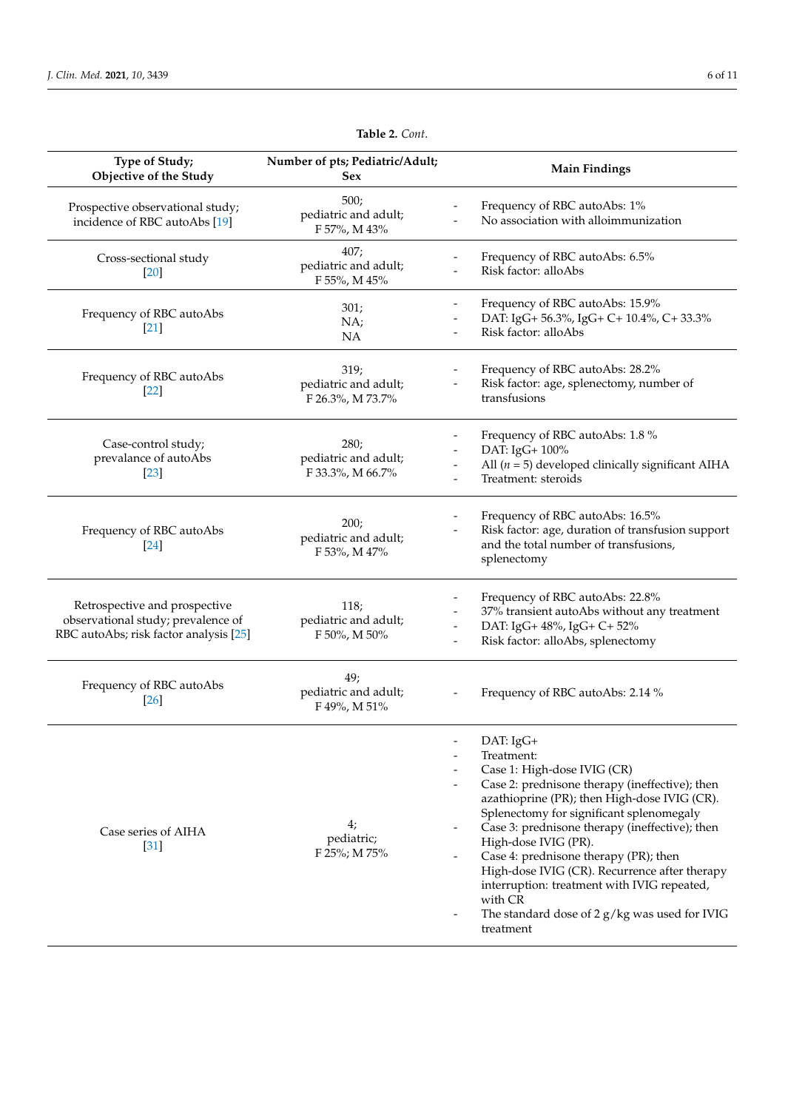| Type of Study;<br>Objective of the Study                                                                      | Number of pts; Pediatric/Adult;<br><b>Sex</b>    | <b>Main Findings</b>                                                                                                                                                                                                                                                                                                                                                                                                                                                                                                           |  |  |
|---------------------------------------------------------------------------------------------------------------|--------------------------------------------------|--------------------------------------------------------------------------------------------------------------------------------------------------------------------------------------------------------------------------------------------------------------------------------------------------------------------------------------------------------------------------------------------------------------------------------------------------------------------------------------------------------------------------------|--|--|
| Prospective observational study;<br>incidence of RBC autoAbs [19]                                             | 500;<br>pediatric and adult;<br>F 57%, M 43%     | Frequency of RBC autoAbs: 1%<br>No association with alloimmunization                                                                                                                                                                                                                                                                                                                                                                                                                                                           |  |  |
| Cross-sectional study<br>$[20]$                                                                               | 407;<br>pediatric and adult;<br>F 55%, M 45%     | Frequency of RBC autoAbs: 6.5%<br>Risk factor: alloAbs                                                                                                                                                                                                                                                                                                                                                                                                                                                                         |  |  |
| Frequency of RBC autoAbs<br>$[21]$                                                                            | 301;<br>NA;<br>NA                                | Frequency of RBC autoAbs: 15.9%<br>DAT: IgG+ 56.3%, IgG+ C+ 10.4%, C+ 33.3%<br>Risk factor: alloAbs                                                                                                                                                                                                                                                                                                                                                                                                                            |  |  |
| Frequency of RBC autoAbs<br>$[22]$                                                                            | 319;<br>pediatric and adult;<br>F 26.3%, M 73.7% | Frequency of RBC autoAbs: 28.2%<br>Risk factor: age, splenectomy, number of<br>transfusions                                                                                                                                                                                                                                                                                                                                                                                                                                    |  |  |
| Case-control study;<br>prevalance of autoAbs<br>$[23]$                                                        | 280;<br>pediatric and adult;<br>F 33.3%, M 66.7% | Frequency of RBC autoAbs: 1.8 %<br>DAT: IgG+ 100%<br>All ( $n = 5$ ) developed clinically significant AIHA<br>Treatment: steroids                                                                                                                                                                                                                                                                                                                                                                                              |  |  |
| Frequency of RBC autoAbs<br>$[24]$                                                                            | 200;<br>pediatric and adult;<br>F 53%, M 47%     | Frequency of RBC autoAbs: 16.5%<br>Risk factor: age, duration of transfusion support<br>and the total number of transfusions,<br>splenectomy                                                                                                                                                                                                                                                                                                                                                                                   |  |  |
| Retrospective and prospective<br>observational study; prevalence of<br>RBC autoAbs; risk factor analysis [25] | 118;<br>pediatric and adult;<br>F 50%, M 50%     | Frequency of RBC autoAbs: 22.8%<br>37% transient autoAbs without any treatment<br>DAT: IgG+ 48%, IgG+ C+ 52%<br>Risk factor: alloAbs, splenectomy                                                                                                                                                                                                                                                                                                                                                                              |  |  |
| Frequency of RBC autoAbs<br>[26]                                                                              | 49;<br>pediatric and adult;<br>F 49%, M 51%      | Frequency of RBC autoAbs: 2.14 %                                                                                                                                                                                                                                                                                                                                                                                                                                                                                               |  |  |
| Case series of AIHA<br>$\left[31\right]$                                                                      | 4;<br>pediatric;<br>F 25%; M 75%                 | DAT: IgG+<br>Treatment:<br>$\overline{\phantom{a}}$<br>Case 1: High-dose IVIG (CR)<br>Case 2: prednisone therapy (ineffective); then<br>azathioprine (PR); then High-dose IVIG (CR).<br>Splenectomy for significant splenomegaly<br>Case 3: prednisone therapy (ineffective); then<br>High-dose IVIG (PR).<br>Case 4: prednisone therapy (PR); then<br>High-dose IVIG (CR). Recurrence after therapy<br>interruption: treatment with IVIG repeated,<br>with CR<br>The standard dose of $2 g/kg$ was used for IVIG<br>treatment |  |  |

## **Table 2.** *Cont*.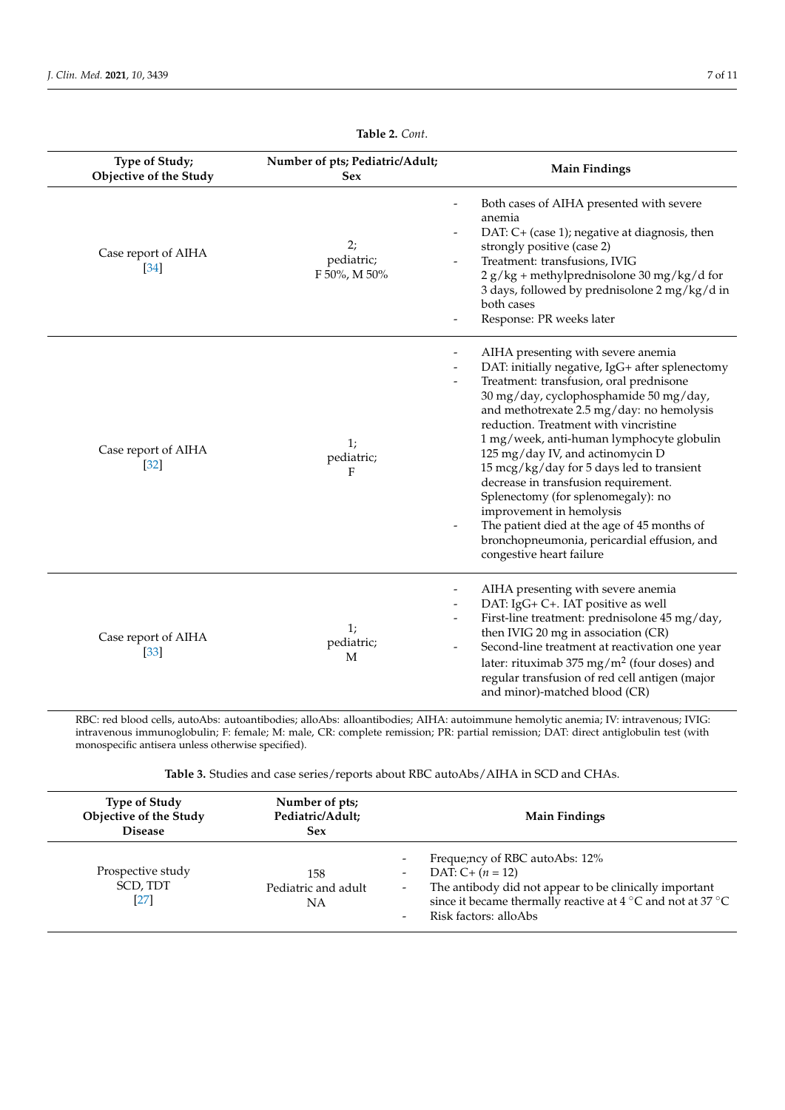<span id="page-6-0"></span>

| Type of Study;<br><b>Objective of the Study</b> | Number of pts; Pediatric/Adult;<br><b>Sex</b> | <b>Main Findings</b>                                                                                                                                                                                                                                                                                                                                                                                                                                                                                                                                                                                                               |
|-------------------------------------------------|-----------------------------------------------|------------------------------------------------------------------------------------------------------------------------------------------------------------------------------------------------------------------------------------------------------------------------------------------------------------------------------------------------------------------------------------------------------------------------------------------------------------------------------------------------------------------------------------------------------------------------------------------------------------------------------------|
| Case report of AIHA<br>$\left[34\right]$        | 2;<br>pediatric;<br>F 50%, M 50%              | Both cases of AIHA presented with severe<br>anemia<br>DAT: C+ (case 1); negative at diagnosis, then<br>strongly positive (case 2)<br>Treatment: transfusions, IVIG<br>$2 g/kg + methylprednisolone 30 mg/kg/d for$<br>3 days, followed by prednisolone 2 mg/kg/d in<br>both cases<br>Response: PR weeks later                                                                                                                                                                                                                                                                                                                      |
| Case report of AIHA<br>$[32]$                   | 1;<br>pediatric;<br>F                         | AIHA presenting with severe anemia<br>DAT: initially negative, IgG+ after splenectomy<br>Treatment: transfusion, oral prednisone<br>30 mg/day, cyclophosphamide 50 mg/day,<br>and methotrexate 2.5 mg/day: no hemolysis<br>reduction. Treatment with vincristine<br>1 mg/week, anti-human lymphocyte globulin<br>125 mg/day IV, and actinomycin D<br>15 mcg/kg/day for 5 days led to transient<br>decrease in transfusion requirement.<br>Splenectomy (for splenomegaly): no<br>improvement in hemolysis<br>The patient died at the age of 45 months of<br>bronchopneumonia, pericardial effusion, and<br>congestive heart failure |
| Case report of AIHA<br>$\left[33\right]$        | 1;<br>pediatric;<br>M                         | AIHA presenting with severe anemia<br>DAT: IgG+ C+. IAT positive as well<br>First-line treatment: prednisolone 45 mg/day,<br>then IVIG 20 mg in association (CR)<br>Second-line treatment at reactivation one year<br>-<br>later: rituximab 375 mg/m <sup>2</sup> (four doses) and<br>regular transfusion of red cell antigen (major<br>and minor)-matched blood (CR)                                                                                                                                                                                                                                                              |

**Table 2.** *Cont*.

RBC: red blood cells, autoAbs: autoantibodies; alloAbs: alloantibodies; AIHA: autoimmune hemolytic anemia; IV: intravenous; IVIG: intravenous immunoglobulin; F: female; M: male, CR: complete remission; PR: partial remission; DAT: direct antiglobulin test (with monospecific antisera unless otherwise specified).

| Table 3. Studies and case series/reports about RBC autoAbs/AIHA in SCD and CHAs. |
|----------------------------------------------------------------------------------|
|----------------------------------------------------------------------------------|

| <b>Type of Study</b><br>Objective of the Study<br><b>Disease</b> | Number of pts;<br>Pediatric/Adult;<br>Sex | <b>Main Findings</b>                                                                                                                                                                                                                                                                                                               |
|------------------------------------------------------------------|-------------------------------------------|------------------------------------------------------------------------------------------------------------------------------------------------------------------------------------------------------------------------------------------------------------------------------------------------------------------------------------|
| Prospective study<br>SCD, TDT<br>$[27]$                          | 158<br>Pediatric and adult<br>NA          | Freque; ncy of RBC autoAbs: 12%<br>$\overline{\phantom{a}}$<br>DAT: $C + (n = 12)$<br>$\overline{\phantom{a}}$<br>The antibody did not appear to be clinically important<br>$\sim$<br>since it became thermally reactive at 4 $\rm{^{\circ}C}$ and not at 37 $\rm{^{\circ}C}$<br>Risk factors: alloAbs<br>$\overline{\phantom{0}}$ |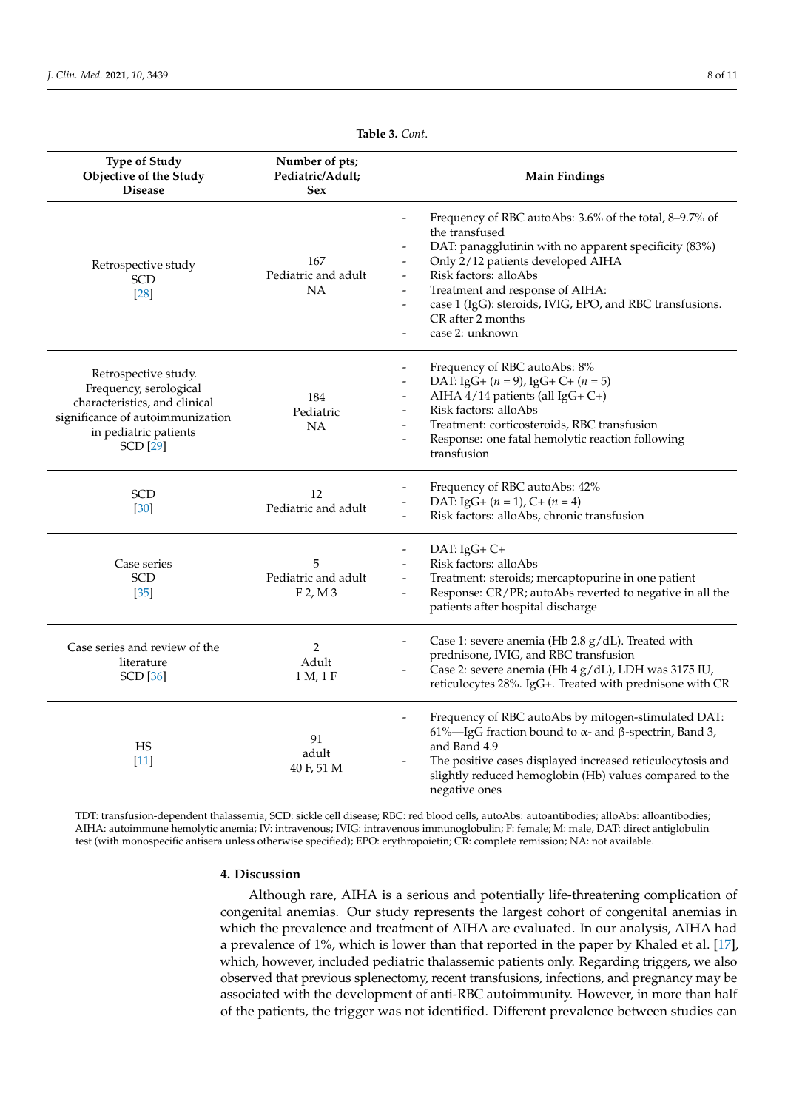<span id="page-7-0"></span>**Type of Study Objective of the Study Disease**

Retrospective study SCD [\[28\]](#page-10-6)

| Table 3. Cont.                                                           |
|--------------------------------------------------------------------------|
| Number of pts;<br>Pediatric/Adult;<br><b>Main Findings</b>               |
| Frequency of RBC autoAbs: 3.6% of the total, 8–9.7% of<br>the transfused |
| DAT: panagglutinin with no apparent specificity (83%)                    |
| Only 2/12 patients developed AIHA                                        |
| Risk factors: alloAbs<br>Pediatric and adult                             |
| Treatment and response of AIHA:                                          |
| case 1 (IgG): steroids, IVIG, EPO, and RBC transfusions.                 |
| CR after 2 months                                                        |
| case 2: unknown                                                          |
| Frequency of RBC autoAbs: 8%                                             |
| DAT: IgG+ $(n = 9)$ , IgG+ C+ $(n = 5)$                                  |
| AIHA $4/14$ patients (all IgG+ C+)                                       |
| Risk factors: alloAbs                                                    |
|                                                                          |

| Retrospective study.<br>Frequency, serological<br>characteristics, and clinical<br>significance of autoimmunization<br>in pediatric patients<br><b>SCD</b> [29] | 184<br>Pediatric<br>NA                 | Trequency of RDC autorios. 070<br>DAT: IgG+ $(n = 9)$ , IgG+ C+ $(n = 5)$<br>AIHA 4/14 patients (all IgG+ C+)<br>Risk factors: alloAbs<br>-<br>Treatment: corticosteroids, RBC transfusion<br>$\qquad \qquad \blacksquare$<br>Response: one fatal hemolytic reaction following<br>transfusion |
|-----------------------------------------------------------------------------------------------------------------------------------------------------------------|----------------------------------------|-----------------------------------------------------------------------------------------------------------------------------------------------------------------------------------------------------------------------------------------------------------------------------------------------|
| <b>SCD</b><br>[30]                                                                                                                                              | 12<br>Pediatric and adult              | Frequency of RBC autoAbs: 42%<br>DAT: IgG+ $(n = 1)$ , C+ $(n = 4)$<br>Risk factors: alloAbs, chronic transfusion                                                                                                                                                                             |
| Case series<br><b>SCD</b><br>$[35]$                                                                                                                             | 5<br>Pediatric and adult<br>$F$ 2, M 3 | DAT: $IgG+C+$<br>Risk factors: alloAbs<br>Treatment: steroids; mercaptopurine in one patient<br>$\overline{\phantom{0}}$<br>Response: CR/PR; autoAbs reverted to negative in all the<br>-<br>patients after hospital discharge                                                                |
| Case series and review of the<br>literature<br><b>SCD</b> [36]                                                                                                  | 2<br>Adult<br>1 M, 1 F                 | Case 1: severe anemia (Hb 2.8 g/dL). Treated with<br>prednisone, IVIG, and RBC transfusion<br>Case 2: severe anemia (Hb 4 g/dL), LDH was 3175 IU,<br>reticulocytes 28%. IgG+. Treated with prednisone with CR                                                                                 |
| HS<br>$[11]$                                                                                                                                                    | 91<br>adult<br>40 F, 51 M              | Frequency of RBC autoAbs by mitogen-stimulated DAT:<br>61%—IgG fraction bound to $\alpha$ - and $\beta$ -spectrin, Band 3,<br>and Band 4.9<br>The positive cases displayed increased reticulocytosis and<br>slightly reduced hemoglobin (Hb) values compared to the<br>negative ones          |

TDT: transfusion-dependent thalassemia, SCD: sickle cell disease; RBC: red blood cells, autoAbs: autoantibodies; alloAbs: alloantibodies; AIHA: autoimmune hemolytic anemia; IV: intravenous; IVIG: intravenous immunoglobulin; F: female; M: male, DAT: direct antiglobulin test (with monospecific antisera unless otherwise specified); EPO: erythropoietin; CR: complete remission; NA: not available.

#### **4. Discussion**

Although rare, AIHA is a serious and potentially life-threatening complication of congenital anemias. Our study represents the largest cohort of congenital anemias in which the prevalence and treatment of AIHA are evaluated. In our analysis, AIHA had a prevalence of 1%, which is lower than that reported in the paper by Khaled et al. [\[17\]](#page-10-0), which, however, included pediatric thalassemic patients only. Regarding triggers, we also observed that previous splenectomy, recent transfusions, infections, and pregnancy may be associated with the development of anti-RBC autoimmunity. However, in more than half of the patients, the trigger was not identified. Different prevalence between studies can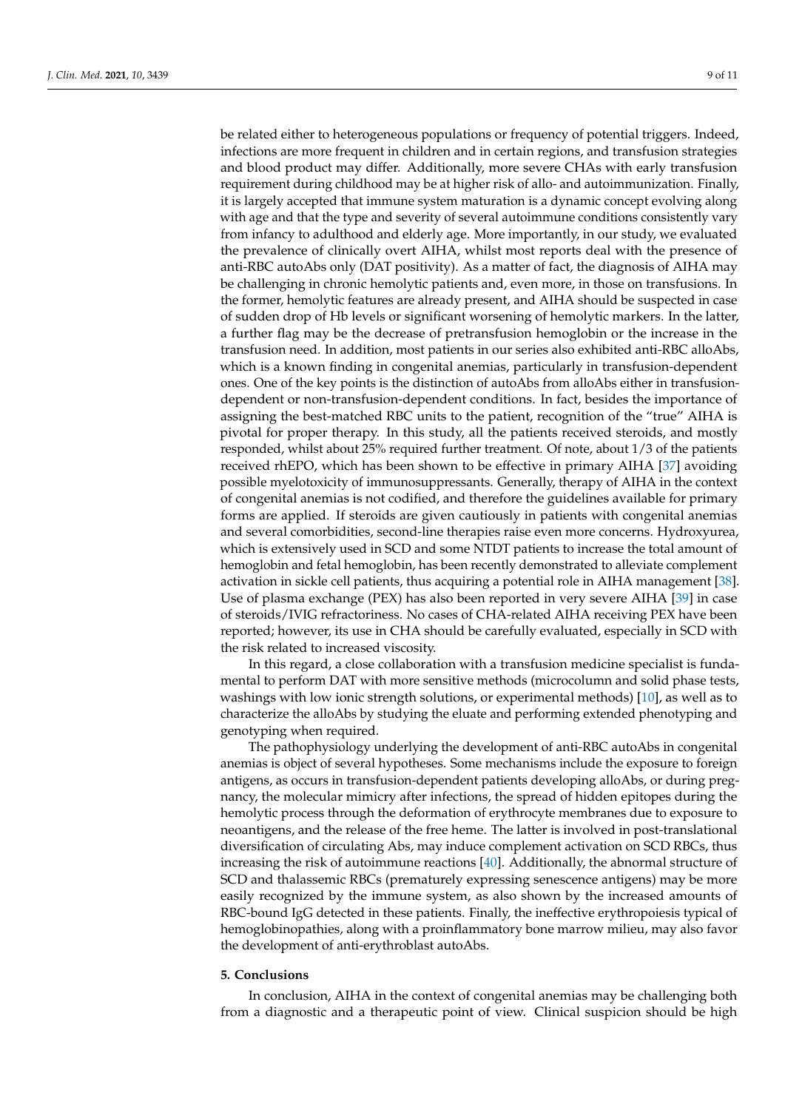be related either to heterogeneous populations or frequency of potential triggers. Indeed, infections are more frequent in children and in certain regions, and transfusion strategies and blood product may differ. Additionally, more severe CHAs with early transfusion requirement during childhood may be at higher risk of allo- and autoimmunization. Finally, it is largely accepted that immune system maturation is a dynamic concept evolving along with age and that the type and severity of several autoimmune conditions consistently vary from infancy to adulthood and elderly age. More importantly, in our study, we evaluated the prevalence of clinically overt AIHA, whilst most reports deal with the presence of anti-RBC autoAbs only (DAT positivity). As a matter of fact, the diagnosis of AIHA may be challenging in chronic hemolytic patients and, even more, in those on transfusions. In the former, hemolytic features are already present, and AIHA should be suspected in case of sudden drop of Hb levels or significant worsening of hemolytic markers. In the latter, a further flag may be the decrease of pretransfusion hemoglobin or the increase in the transfusion need. In addition, most patients in our series also exhibited anti-RBC alloAbs, which is a known finding in congenital anemias, particularly in transfusion-dependent ones. One of the key points is the distinction of autoAbs from alloAbs either in transfusiondependent or non-transfusion-dependent conditions. In fact, besides the importance of assigning the best-matched RBC units to the patient, recognition of the "true" AIHA is pivotal for proper therapy. In this study, all the patients received steroids, and mostly responded, whilst about 25% required further treatment. Of note, about 1/3 of the patients received rhEPO, which has been shown to be effective in primary AIHA [\[37\]](#page-10-20) avoiding possible myelotoxicity of immunosuppressants. Generally, therapy of AIHA in the context of congenital anemias is not codified, and therefore the guidelines available for primary forms are applied. If steroids are given cautiously in patients with congenital anemias and several comorbidities, second-line therapies raise even more concerns. Hydroxyurea, which is extensively used in SCD and some NTDT patients to increase the total amount of hemoglobin and fetal hemoglobin, has been recently demonstrated to alleviate complement activation in sickle cell patients, thus acquiring a potential role in AIHA management [\[38\]](#page-10-21). Use of plasma exchange (PEX) has also been reported in very severe AIHA [\[39\]](#page-10-22) in case of steroids/IVIG refractoriness. No cases of CHA-related AIHA receiving PEX have been reported; however, its use in CHA should be carefully evaluated, especially in SCD with the risk related to increased viscosity.

In this regard, a close collaboration with a transfusion medicine specialist is fundamental to perform DAT with more sensitive methods (microcolumn and solid phase tests, washings with low ionic strength solutions, or experimental methods) [\[10\]](#page-9-6), as well as to characterize the alloAbs by studying the eluate and performing extended phenotyping and genotyping when required.

The pathophysiology underlying the development of anti-RBC autoAbs in congenital anemias is object of several hypotheses. Some mechanisms include the exposure to foreign antigens, as occurs in transfusion-dependent patients developing alloAbs, or during pregnancy, the molecular mimicry after infections, the spread of hidden epitopes during the hemolytic process through the deformation of erythrocyte membranes due to exposure to neoantigens, and the release of the free heme. The latter is involved in post-translational diversification of circulating Abs, may induce complement activation on SCD RBCs, thus increasing the risk of autoimmune reactions [\[40\]](#page-10-23). Additionally, the abnormal structure of SCD and thalassemic RBCs (prematurely expressing senescence antigens) may be more easily recognized by the immune system, as also shown by the increased amounts of RBC-bound IgG detected in these patients. Finally, the ineffective erythropoiesis typical of hemoglobinopathies, along with a proinflammatory bone marrow milieu, may also favor the development of anti-erythroblast autoAbs.

#### **5. Conclusions**

In conclusion, AIHA in the context of congenital anemias may be challenging both from a diagnostic and a therapeutic point of view. Clinical suspicion should be high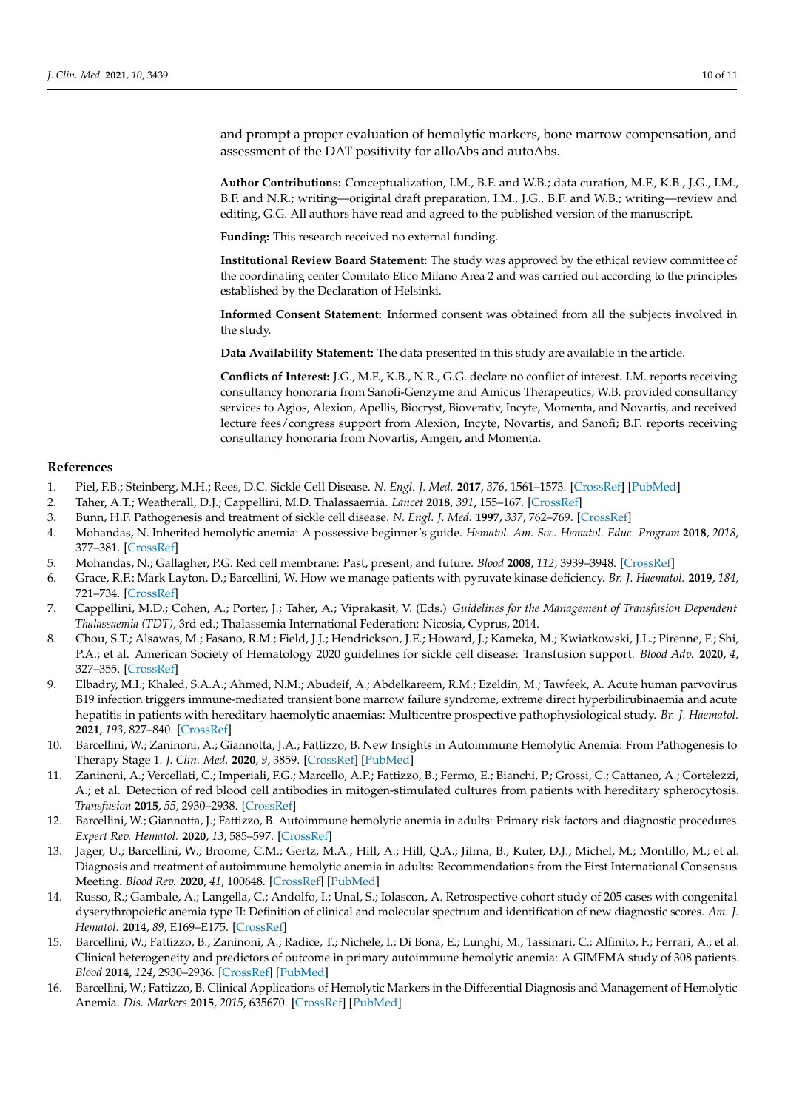and prompt a proper evaluation of hemolytic markers, bone marrow compensation, and assessment of the DAT positivity for alloAbs and autoAbs.

**Author Contributions:** Conceptualization, I.M., B.F. and W.B.; data curation, M.F., K.B., J.G., I.M., B.F. and N.R.; writing—original draft preparation, I.M., J.G., B.F. and W.B.; writing—review and editing, G.G. All authors have read and agreed to the published version of the manuscript.

**Funding:** This research received no external funding.

**Institutional Review Board Statement:** The study was approved by the ethical review committee of the coordinating center Comitato Etico Milano Area 2 and was carried out according to the principles established by the Declaration of Helsinki.

**Informed Consent Statement:** Informed consent was obtained from all the subjects involved in the study.

**Data Availability Statement:** The data presented in this study are available in the article.

**Conflicts of Interest:** J.G., M.F., K.B., N.R., G.G. declare no conflict of interest. I.M. reports receiving consultancy honoraria from Sanofi-Genzyme and Amicus Therapeutics; W.B. provided consultancy services to Agios, Alexion, Apellis, Biocryst, Bioverativ, Incyte, Momenta, and Novartis, and received lecture fees/congress support from Alexion, Incyte, Novartis, and Sanofi; B.F. reports receiving consultancy honoraria from Novartis, Amgen, and Momenta.

#### **References**

- <span id="page-9-0"></span>1. Piel, F.B.; Steinberg, M.H.; Rees, D.C. Sickle Cell Disease. *N. Engl. J. Med.* **2017**, *376*, 1561–1573. [\[CrossRef\]](http://doi.org/10.1056/NEJMra1510865) [\[PubMed\]](http://www.ncbi.nlm.nih.gov/pubmed/28423290)
- <span id="page-9-1"></span>2. Taher, A.T.; Weatherall, D.J.; Cappellini, M.D. Thalassaemia. *Lancet* **2018**, *391*, 155–167. [\[CrossRef\]](http://doi.org/10.1016/S0140-6736(17)31822-6)
- <span id="page-9-2"></span>3. Bunn, H.F. Pathogenesis and treatment of sickle cell disease. *N. Engl. J. Med.* **1997**, *337*, 762–769. [\[CrossRef\]](http://doi.org/10.1056/NEJM199709113371107)
- <span id="page-9-3"></span>4. Mohandas, N. Inherited hemolytic anemia: A possessive beginner's guide. *Hematol. Am. Soc. Hematol. Educ. Program* **2018**, *2018*, 377–381. [\[CrossRef\]](http://doi.org/10.1182/asheducation-2018.1.377)
- 5. Mohandas, N.; Gallagher, P.G. Red cell membrane: Past, present, and future. *Blood* **2008**, *112*, 3939–3948. [\[CrossRef\]](http://doi.org/10.1182/blood-2008-07-161166)
- 6. Grace, R.F.; Mark Layton, D.; Barcellini, W. How we manage patients with pyruvate kinase deficiency. *Br. J. Haematol.* **2019**, *184*, 721–734. [\[CrossRef\]](http://doi.org/10.1111/bjh.15758)
- 7. Cappellini, M.D.; Cohen, A.; Porter, J.; Taher, A.; Viprakasit, V. (Eds.) *Guidelines for the Management of Transfusion Dependent Thalassaemia (TDT)*, 3rd ed.; Thalassemia International Federation: Nicosia, Cyprus, 2014.
- <span id="page-9-4"></span>8. Chou, S.T.; Alsawas, M.; Fasano, R.M.; Field, J.J.; Hendrickson, J.E.; Howard, J.; Kameka, M.; Kwiatkowski, J.L.; Pirenne, F.; Shi, P.A.; et al. American Society of Hematology 2020 guidelines for sickle cell disease: Transfusion support. *Blood Adv.* **2020**, *4*, 327–355. [\[CrossRef\]](http://doi.org/10.1182/bloodadvances.2019001143)
- <span id="page-9-5"></span>9. Elbadry, M.I.; Khaled, S.A.A.; Ahmed, N.M.; Abudeif, A.; Abdelkareem, R.M.; Ezeldin, M.; Tawfeek, A. Acute human parvovirus B19 infection triggers immune-mediated transient bone marrow failure syndrome, extreme direct hyperbilirubinaemia and acute hepatitis in patients with hereditary haemolytic anaemias: Multicentre prospective pathophysiological study. *Br. J. Haematol.* **2021**, *193*, 827–840. [\[CrossRef\]](http://doi.org/10.1111/bjh.17484)
- <span id="page-9-6"></span>10. Barcellini, W.; Zaninoni, A.; Giannotta, J.A.; Fattizzo, B. New Insights in Autoimmune Hemolytic Anemia: From Pathogenesis to Therapy Stage 1. *J. Clin. Med.* **2020**, *9*, 3859. [\[CrossRef\]](http://doi.org/10.3390/jcm9123859) [\[PubMed\]](http://www.ncbi.nlm.nih.gov/pubmed/33261023)
- <span id="page-9-7"></span>11. Zaninoni, A.; Vercellati, C.; Imperiali, F.G.; Marcello, A.P.; Fattizzo, B.; Fermo, E.; Bianchi, P.; Grossi, C.; Cattaneo, A.; Cortelezzi, A.; et al. Detection of red blood cell antibodies in mitogen-stimulated cultures from patients with hereditary spherocytosis. *Transfusion* **2015**, *55*, 2930–2938. [\[CrossRef\]](http://doi.org/10.1111/trf.13257)
- <span id="page-9-8"></span>12. Barcellini, W.; Giannotta, J.; Fattizzo, B. Autoimmune hemolytic anemia in adults: Primary risk factors and diagnostic procedures. *Expert Rev. Hematol.* **2020**, *13*, 585–597. [\[CrossRef\]](http://doi.org/10.1080/17474086.2020.1754791)
- <span id="page-9-9"></span>13. Jager, U.; Barcellini, W.; Broome, C.M.; Gertz, M.A.; Hill, A.; Hill, Q.A.; Jilma, B.; Kuter, D.J.; Michel, M.; Montillo, M.; et al. Diagnosis and treatment of autoimmune hemolytic anemia in adults: Recommendations from the First International Consensus Meeting. *Blood Rev.* **2020**, *41*, 100648. [\[CrossRef\]](http://doi.org/10.1016/j.blre.2019.100648) [\[PubMed\]](http://www.ncbi.nlm.nih.gov/pubmed/31839434)
- <span id="page-9-10"></span>14. Russo, R.; Gambale, A.; Langella, C.; Andolfo, I.; Unal, S.; Iolascon, A. Retrospective cohort study of 205 cases with congenital dyserythropoietic anemia type II: Definition of clinical and molecular spectrum and identification of new diagnostic scores. *Am. J. Hematol.* **2014**, *89*, E169–E175. [\[CrossRef\]](http://doi.org/10.1002/ajh.23800)
- <span id="page-9-11"></span>15. Barcellini, W.; Fattizzo, B.; Zaninoni, A.; Radice, T.; Nichele, I.; Di Bona, E.; Lunghi, M.; Tassinari, C.; Alfinito, F.; Ferrari, A.; et al. Clinical heterogeneity and predictors of outcome in primary autoimmune hemolytic anemia: A GIMEMA study of 308 patients. *Blood* **2014**, *124*, 2930–2936. [\[CrossRef\]](http://doi.org/10.1182/blood-2014-06-583021) [\[PubMed\]](http://www.ncbi.nlm.nih.gov/pubmed/25232059)
- <span id="page-9-12"></span>16. Barcellini, W.; Fattizzo, B. Clinical Applications of Hemolytic Markers in the Differential Diagnosis and Management of Hemolytic Anemia. *Dis. Markers* **2015**, *2015*, 635670. [\[CrossRef\]](http://doi.org/10.1155/2015/635670) [\[PubMed\]](http://www.ncbi.nlm.nih.gov/pubmed/26819490)